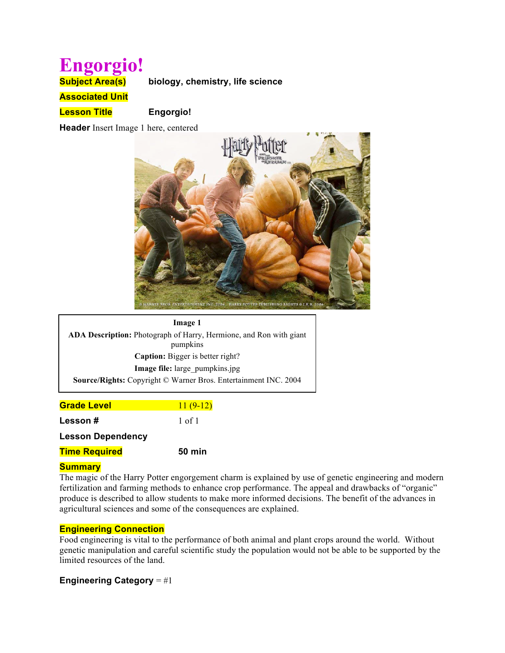# **Engorgio!**

**Subject Area(s) biology, chemistry, life science** 

**Associated Unit**

**Lesson Title Engorgio!**

**Header** Insert Image 1 here, centered



| Image 1                                                                   |  |  |
|---------------------------------------------------------------------------|--|--|
| <b>ADA Description:</b> Photograph of Harry, Hermione, and Ron with giant |  |  |
| pumpkins                                                                  |  |  |
| <b>Caption:</b> Bigger is better right?                                   |  |  |
| Image file: large pumpkins.jpg                                            |  |  |
| <b>Source/Rights:</b> Copyright © Warner Bros. Entertainment INC. 2004    |  |  |

| <b>Grade Level</b>       | $11(9-12)$    |
|--------------------------|---------------|
| Lesson#                  | 1 of 1        |
| <b>Lesson Dependency</b> |               |
| <b>Time Required</b>     | <b>50 min</b> |

# **Summary**

The magic of the Harry Potter engorgement charm is explained by use of genetic engineering and modern fertilization and farming methods to enhance crop performance. The appeal and drawbacks of "organic" produce is described to allow students to make more informed decisions. The benefit of the advances in agricultural sciences and some of the consequences are explained.

# **Engineering Connection**

Food engineering is vital to the performance of both animal and plant crops around the world. Without genetic manipulation and careful scientific study the population would not be able to be supported by the limited resources of the land.

# **Engineering Category** = #1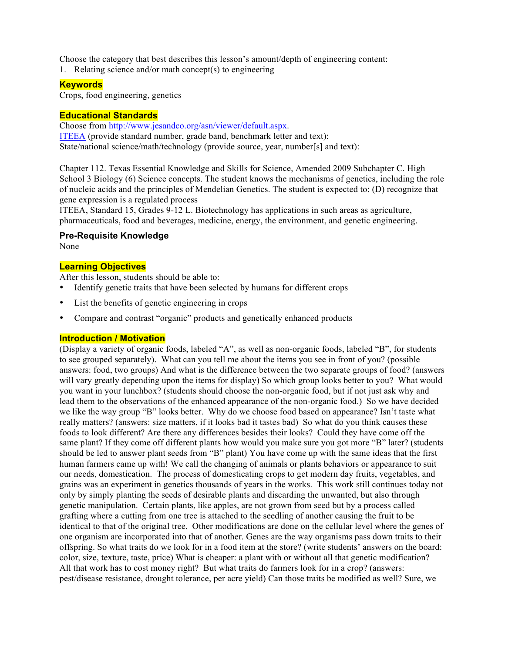Choose the category that best describes this lesson's amount/depth of engineering content:

1. Relating science and/or math concept(s) to engineering

#### **Keywords**

Crops, food engineering, genetics

# **Educational Standards**

Choose from http://www.jesandco.org/asn/viewer/default.aspx. ITEEA (provide standard number, grade band, benchmark letter and text): State/national science/math/technology (provide source, year, number[s] and text):

Chapter 112. Texas Essential Knowledge and Skills for Science, Amended 2009 Subchapter C. High School 3 Biology (6) Science concepts. The student knows the mechanisms of genetics, including the role of nucleic acids and the principles of Mendelian Genetics. The student is expected to: (D) recognize that gene expression is a regulated process

ITEEA, Standard 15, Grades 9-12 L. Biotechnology has applications in such areas as agriculture, pharmaceuticals, food and beverages, medicine, energy, the environment, and genetic engineering.

# **Pre-Requisite Knowledge**

None

#### **Learning Objectives**

After this lesson, students should be able to:

- Identify genetic traits that have been selected by humans for different crops
- List the benefits of genetic engineering in crops
- Compare and contrast "organic" products and genetically enhanced products

#### **Introduction / Motivation**

(Display a variety of organic foods, labeled "A", as well as non-organic foods, labeled "B", for students to see grouped separately). What can you tell me about the items you see in front of you? (possible answers: food, two groups) And what is the difference between the two separate groups of food? (answers will vary greatly depending upon the items for display) So which group looks better to you? What would you want in your lunchbox? (students should choose the non-organic food, but if not just ask why and lead them to the observations of the enhanced appearance of the non-organic food.) So we have decided we like the way group "B" looks better. Why do we choose food based on appearance? Isn't taste what really matters? (answers: size matters, if it looks bad it tastes bad) So what do you think causes these foods to look different? Are there any differences besides their looks? Could they have come off the same plant? If they come off different plants how would you make sure you got more "B" later? (students should be led to answer plant seeds from "B" plant) You have come up with the same ideas that the first human farmers came up with! We call the changing of animals or plants behaviors or appearance to suit our needs, domestication. The process of domesticating crops to get modern day fruits, vegetables, and grains was an experiment in genetics thousands of years in the works. This work still continues today not only by simply planting the seeds of desirable plants and discarding the unwanted, but also through genetic manipulation. Certain plants, like apples, are not grown from seed but by a process called grafting where a cutting from one tree is attached to the seedling of another causing the fruit to be identical to that of the original tree. Other modifications are done on the cellular level where the genes of one organism are incorporated into that of another. Genes are the way organisms pass down traits to their offspring. So what traits do we look for in a food item at the store? (write students' answers on the board: color, size, texture, taste, price) What is cheaper: a plant with or without all that genetic modification? All that work has to cost money right? But what traits do farmers look for in a crop? (answers: pest/disease resistance, drought tolerance, per acre yield) Can those traits be modified as well? Sure, we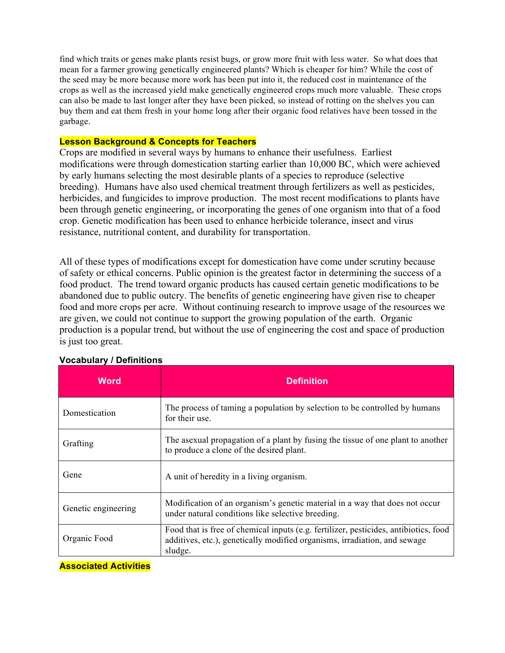find which traits or genes make plants resist bugs, or grow more fruit with less water. So what does that mean for a farmer growing genetically engineered plants? Which is cheaper for him? While the cost of the seed may be more because more work has been put into it, the reduced cost in maintenance of the crops as well as the increased yield make genetically engineered crops much more valuable. These crops can also be made to last longer after they have been picked, so instead of rotting on the shelves you can buy them and eat them fresh in your home long after their organic food relatives have been tossed in the garbage.

#### **Lesson Background & Concepts for Teachers**

Crops are modified in several ways by humans to enhance their usefulness. Earliest modifications were through domestication starting earlier than 10,000 BC, which were achieved by early humans selecting the most desirable plants of a species to reproduce (selective breeding). Humans have also used chemical treatment through fertilizers as well as pesticides, herbicides, and fungicides to improve production. The most recent modifications to plants have been through genetic engineering, or incorporating the genes of one organism into that of a food crop. Genetic modification has been used to enhance herbicide tolerance, insect and virus resistance, nutritional content, and durability for transportation.

All of these types of modifications except for domestication have come under scrutiny because of safety or ethical concerns. Public opinion is the greatest factor in determining the success of a food product. The trend toward organic products has caused certain genetic modifications to be abandoned due to public outcry. The benefits of genetic engineering have given rise to cheaper food and more crops per acre. Without continuing research to improve usage of the resources we are given, we could not continue to support the growing population of the earth. Organic production is a popular trend, but without the use of engineering the cost and space of production is just too great.

| <b>Word</b>         | <b>Definition</b>                                                                                                                                                            |
|---------------------|------------------------------------------------------------------------------------------------------------------------------------------------------------------------------|
| Domestication       | The process of taming a population by selection to be controlled by humans<br>for their use.                                                                                 |
| Grafting            | The asexual propagation of a plant by fusing the tissue of one plant to another<br>to produce a clone of the desired plant.                                                  |
| Gene                | A unit of heredity in a living organism.                                                                                                                                     |
| Genetic engineering | Modification of an organism's genetic material in a way that does not occur<br>under natural conditions like selective breeding.                                             |
| Organic Food        | Food that is free of chemical inputs (e.g. fertilizer, pesticides, antibiotics, food<br>additives, etc.), genetically modified organisms, irradiation, and sewage<br>sludge. |

#### **Vocabulary / Definitions**

**Associated Activities**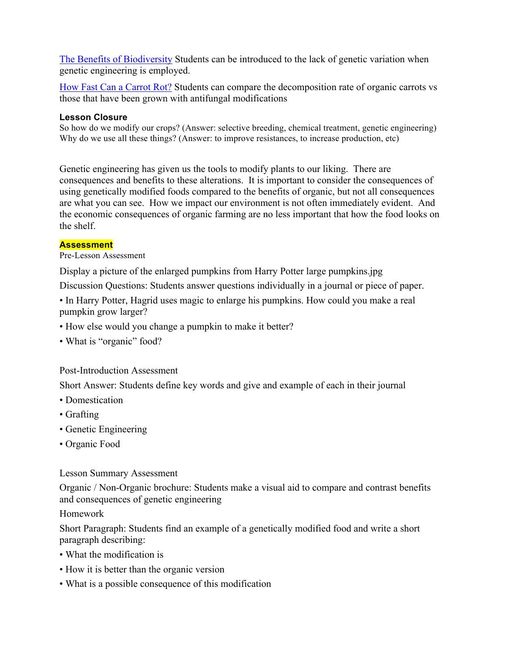The Benefits of Biodiversity Students can be introduced to the lack of genetic variation when genetic engineering is employed.

How Fast Can a Carrot Rot? Students can compare the decomposition rate of organic carrots vs those that have been grown with antifungal modifications

# **Lesson Closure**

So how do we modify our crops? (Answer: selective breeding, chemical treatment, genetic engineering) Why do we use all these things? (Answer: to improve resistances, to increase production, etc)

Genetic engineering has given us the tools to modify plants to our liking. There are consequences and benefits to these alterations. It is important to consider the consequences of using genetically modified foods compared to the benefits of organic, but not all consequences are what you can see. How we impact our environment is not often immediately evident. And the economic consequences of organic farming are no less important that how the food looks on the shelf.

# **Assessment**

# Pre-Lesson Assessment

Display a picture of the enlarged pumpkins from Harry Potter large pumpkins.jpg

Discussion Questions: Students answer questions individually in a journal or piece of paper.

• In Harry Potter, Hagrid uses magic to enlarge his pumpkins. How could you make a real pumpkin grow larger?

- How else would you change a pumpkin to make it better?
- What is "organic" food?

Post-Introduction Assessment

Short Answer: Students define key words and give and example of each in their journal

- Domestication
- Grafting
- Genetic Engineering
- Organic Food

# Lesson Summary Assessment

Organic / Non-Organic brochure: Students make a visual aid to compare and contrast benefits and consequences of genetic engineering

# Homework

Short Paragraph: Students find an example of a genetically modified food and write a short paragraph describing:

- What the modification is
- How it is better than the organic version
- What is a possible consequence of this modification